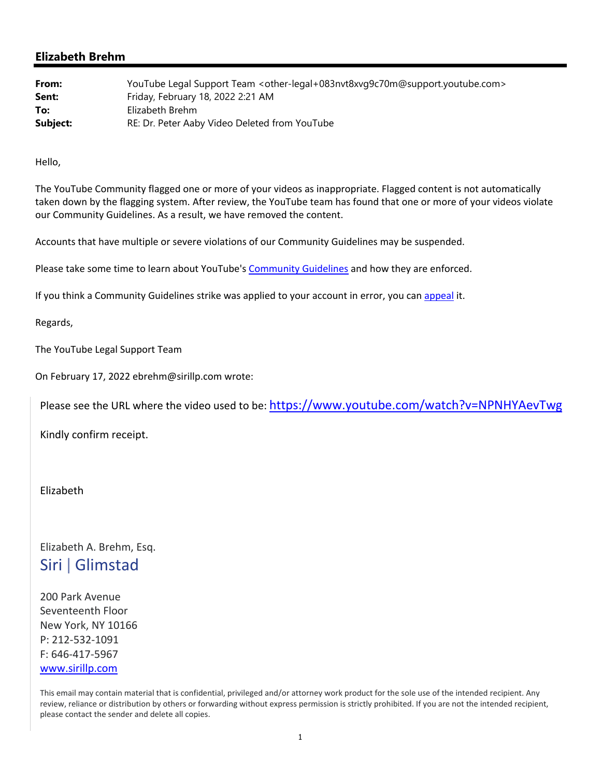## **Elizabeth Brehm**

| From:    | YouTube Legal Support Team < other-legal+083nvt8xvg9c70m@support.youtube.com> |
|----------|-------------------------------------------------------------------------------|
| Sent:    | Friday, February 18, 2022 2:21 AM                                             |
| To:      | Elizabeth Brehm                                                               |
| Subject: | RE: Dr. Peter Aaby Video Deleted from YouTube                                 |

Hello,

The YouTube Community flagged one or more of your videos as inappropriate. Flagged content is not automatically taken down by the flagging system. After review, the YouTube team has found that one or more of your videos violate our Community Guidelines. As a result, we have removed the content.

Accounts that have multiple or severe violations of our Community Guidelines may be suspended.

Please take some time to learn about YouTube's Community Guidelines and how they are enforced.

If you think a Community Guidelines strike was applied to your account in error, you can appeal it.

Regards,

The YouTube Legal Support Team

On February 17, 2022 ebrehm@sirillp.com wrote:

Please see the URL where the video used to be: https://www.youtube.com/watch?v=NPNHYAevTwg

Kindly confirm receipt.

## Elizabeth

## Elizabeth A. Brehm, Esq. Siri |Glimstad

200 Park Avenue Seventeenth Floor New York, NY 10166 P: 212‐532‐1091 F: 646‐417‐5967 www.sirillp.com

This email may contain material that is confidential, privileged and/or attorney work product for the sole use of the intended recipient. Any review, reliance or distribution by others or forwarding without express permission is strictly prohibited. If you are not the intended recipient, please contact the sender and delete all copies.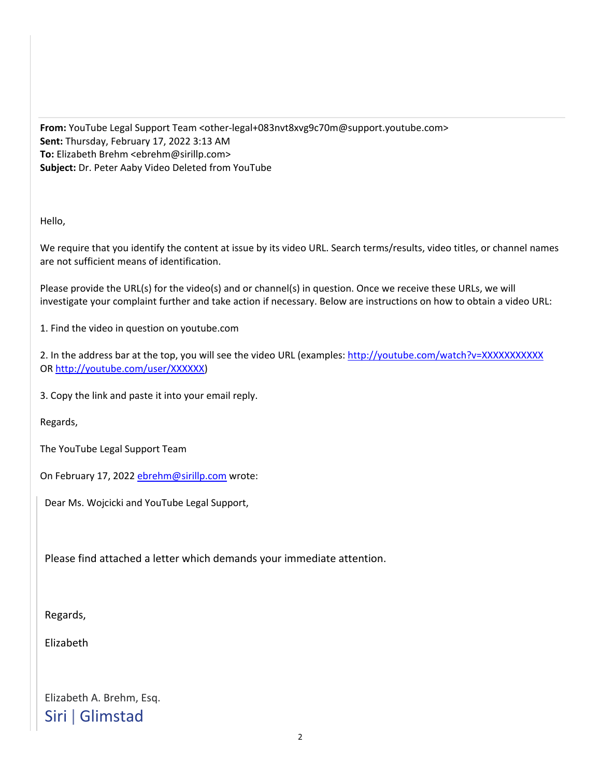From: YouTube Legal Support Team <other-legal+083nvt8xvg9c70m@support.youtube.com> **Sent:** Thursday, February 17, 2022 3:13 AM **To:** Elizabeth Brehm <ebrehm@sirillp.com> **Subject:** Dr. Peter Aaby Video Deleted from YouTube

Hello,

We require that you identify the content at issue by its video URL. Search terms/results, video titles, or channel names are not sufficient means of identification.

Please provide the URL(s) for the video(s) and or channel(s) in question. Once we receive these URLs, we will investigate your complaint further and take action if necessary. Below are instructions on how to obtain a video URL:

1. Find the video in question on youtube.com

2. In the address bar at the top, you will see the video URL (examples: http://youtube.com/watch?v=XXXXXXXXXXX OR http://youtube.com/user/XXXXXX)

3. Copy the link and paste it into your email reply.

Regards,

The YouTube Legal Support Team

On February 17, 2022 ebrehm@sirillp.com wrote:

Dear Ms. Wojcicki and YouTube Legal Support,

Please find attached a letter which demands your immediate attention.

Regards,

Elizabeth

Elizabeth A. Brehm, Esq. Siri |Glimstad